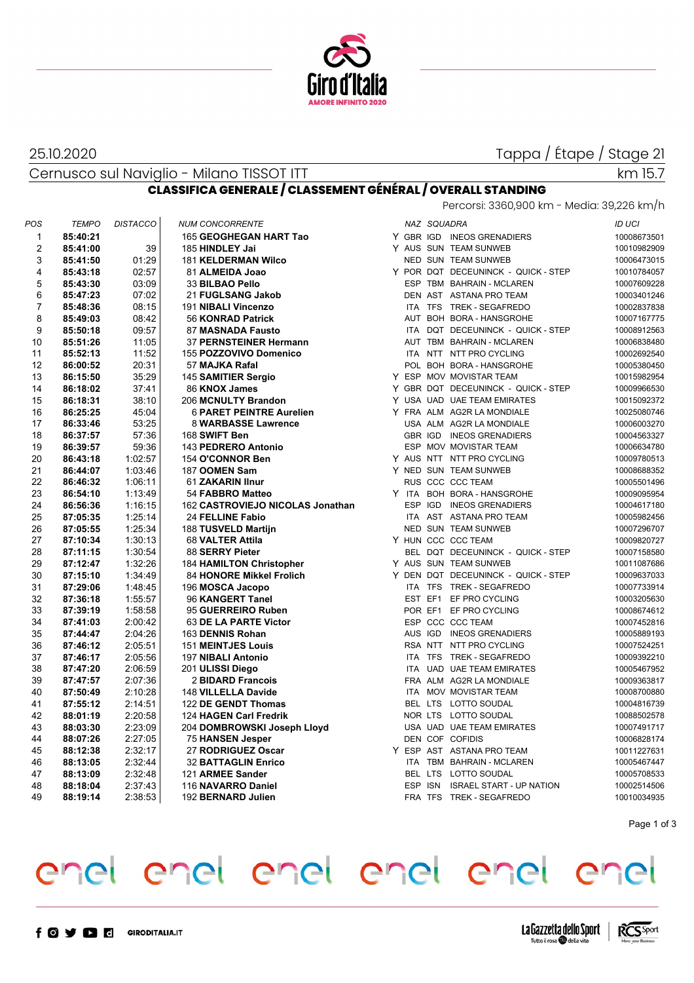

### 25.10.2020

Tappa / Étape / Stage 21

Cernusco sul Naviglio - Milano TISSOT ITT **CLASSIFICA GENERALE / CLASSEMENT GÉNÉRAL / OVERALL STANDING**

## km 15.7

Percorsi: 3360,900 km - Media: 39,226 km/h

| POS            | <b>TEMPO</b> | <b>DISTACCO</b> | <b>NUM CONCORRENTE</b>           |            | NAZ SQUADRA |                                     | <b>ID UCI</b> |
|----------------|--------------|-----------------|----------------------------------|------------|-------------|-------------------------------------|---------------|
| $\mathbf{1}$   | 85:40:21     |                 | 165 GEOGHEGAN HART Tao           |            |             | Y GBR IGD INEOS GRENADIERS          | 10008673501   |
| $\overline{2}$ | 85:41:00     | 39              | 185 HINDLEY Jai                  |            |             | Y AUS SUN TEAM SUNWEB               | 10010982909   |
| 3              | 85:41:50     | 01:29           | <b>181 KELDERMAN Wilco</b>       |            |             | NED SUN TEAM SUNWEB                 | 10006473015   |
| 4              | 85:43:18     | 02:57           | 81 ALMEIDA Joao                  |            |             | Y POR DQT DECEUNINCK - QUICK - STEP | 10010784057   |
| 5              | 85:43:30     | 03:09           | 33 BILBAO Pello                  |            |             | ESP TBM BAHRAIN - MCLAREN           | 10007609228   |
| 6              | 85:47:23     | 07:02           | 21 FUGLSANG Jakob                |            |             | DEN AST ASTANA PRO TEAM             | 10003401246   |
| $\overline{7}$ | 85:48:36     | 08:15           | 191 NIBALI Vincenzo              |            |             | ITA TFS TREK - SEGAFREDO            | 10002837838   |
| 8              | 85:49:03     | 08:42           | 56 KONRAD Patrick                |            |             | AUT BOH BORA - HANSGROHE            | 10007167775   |
| 9              | 85:50:18     | 09:57           | 87 MASNADA Fausto                |            |             | ITA DQT DECEUNINCK - QUICK - STEP   | 10008912563   |
| 10             | 85:51:26     | 11:05           | 37 PERNSTEINER Hermann           |            |             | AUT TBM BAHRAIN - MCLAREN           | 10006838480   |
| 11             | 85:52:13     | 11:52           | 155 POZZOVIVO Domenico           |            |             | ITA NTT NTT PRO CYCLING             | 10002692540   |
| 12             | 86:00:52     | 20:31           | 57 MAJKA Rafal                   |            |             | POL BOH BORA - HANSGROHE            | 10005380450   |
| 13             | 86:15:50     | 35:29           | 145 SAMITIER Sergio              |            |             | Y ESP MOV MOVISTAR TEAM             | 10015982954   |
| 14             | 86:18:02     | 37:41           | 86 KNOX James                    |            |             | Y GBR DQT DECEUNINCK - QUICK - STEP | 10009966530   |
| 15             | 86:18:31     | 38:10           | 206 MCNULTY Brandon              |            |             | Y USA UAD UAE TEAM EMIRATES         | 10015092372   |
| 16             | 86:25:25     | 45:04           | <b>6 PARET PEINTRE Aurelien</b>  |            |             | Y FRA ALM AG2R LA MONDIALE          | 10025080746   |
| 17             | 86:33:46     | 53:25           | 8 WARBASSE Lawrence              |            |             | USA ALM AG2R LA MONDIALE            | 10006003270   |
| 18             | 86:37:57     | 57:36           | 168 SWIFT Ben                    |            |             | GBR IGD INEOS GRENADIERS            | 10004563327   |
| 19             | 86:39:57     | 59:36           | 143 PEDRERO Antonio              |            |             | ESP MOV MOVISTAR TEAM               | 10006634780   |
| 20             | 86:43:18     | 1:02:57         | 154 O'CONNOR Ben                 |            |             | Y AUS NTT NTT PRO CYCLING           | 10009780513   |
| 21             | 86:44:07     | 1:03:46         | 187 OOMEN Sam                    |            |             | Y NED SUN TEAM SUNWEB               | 10008688352   |
| 22             | 86:46:32     | 1:06:11         | 61 ZAKARIN IInur                 |            |             | RUS CCC CCC TEAM                    | 10005501496   |
| 23             | 86:54:10     | 1:13:49         | 54 FABBRO Matteo                 |            |             | Y ITA BOH BORA - HANSGROHE          | 10009095954   |
| 24             | 86:56:36     | 1:16:15         | 162 CASTROVIEJO NICOLAS Jonathan |            |             | ESP IGD INEOS GRENADIERS            | 10004617180   |
| 25             | 87:05:35     | 1:25:14         | 24 FELLINE Fabio                 | <b>ITA</b> |             | AST ASTANA PRO TEAM                 | 10005982456   |
| 26             | 87:05:55     | 1:25:34         | 188 TUSVELD Martijn              |            |             | NED SUN TEAM SUNWEB                 | 10007296707   |
| 27             | 87:10:34     | 1:30:13         | 68 VALTER Attila                 |            |             | Y HUN CCC CCC TEAM                  | 10009820727   |
| 28             | 87:11:15     | 1:30:54         | 88 SERRY Pieter                  |            |             | BEL DQT DECEUNINCK - QUICK - STEP   | 10007158580   |
| 29             | 87:12:47     | 1:32:26         | <b>184 HAMILTON Christopher</b>  |            |             | Y AUS SUN TEAM SUNWEB               | 10011087686   |
| 30             | 87:15:10     | 1:34:49         | 84 HONORE Mikkel Frolich         |            |             | Y DEN DQT DECEUNINCK - QUICK - STEP | 10009637033   |
| 31             | 87:29:06     | 1:48:45         | 196 MOSCA Jacopo                 |            |             | ITA TFS TREK - SEGAFREDO            | 10007733914   |
| 32             | 87:36:18     | 1:55:57         | 96 KANGERT Tanel                 |            |             | EST EF1 EF PRO CYCLING              | 10003205630   |
| 33             | 87:39:19     | 1:58:58         | 95 GUERREIRO Ruben               |            |             | POR EF1 EF PRO CYCLING              | 10008674612   |
| 34             | 87:41:03     | 2:00:42         | 63 DE LA PARTE Victor            |            |             | ESP CCC CCC TEAM                    | 10007452816   |
| 35             | 87:44:47     | 2:04:26         | 163 DENNIS Rohan                 |            |             | AUS IGD INEOS GRENADIERS            | 10005889193   |
| 36             | 87:46:12     | 2:05:51         | <b>151 MEINTJES Louis</b>        |            |             | RSA NTT NTT PRO CYCLING             | 10007524251   |
| 37             | 87:46:17     | 2:05:56         | 197 NIBALI Antonio               |            |             | ITA TFS TREK - SEGAFREDO            | 10009392210   |
| 38             | 87:47:20     | 2:06:59         | 201 ULISSI Diego                 | <b>ITA</b> |             | UAD UAE TEAM EMIRATES               | 10005467952   |
| 39             | 87:47:57     | 2:07:36         | 2 BIDARD Francois                |            |             | FRA ALM AG2R LA MONDIALE            | 10009363817   |
| 40             | 87:50:49     | 2:10:28         | 148 VILLELLA Davide              |            |             | ITA MOV MOVISTAR TEAM               | 10008700880   |
| 41             | 87:55:12     | 2:14:51         | 122 DE GENDT Thomas              |            |             | BEL LTS LOTTO SOUDAL                | 10004816739   |
| 42             | 88:01:19     | 2:20:58         | 124 HAGEN Carl Fredrik           |            |             | NOR LTS LOTTO SOUDAL                | 10088502578   |
| 43             | 88:03:30     | 2:23:09         | 204 DOMBROWSKI Joseph Lloyd      |            |             | USA UAD UAE TEAM EMIRATES           | 10007491717   |
| 44             | 88:07:26     | 2:27:05         | <b>75 HANSEN Jesper</b>          |            |             | DEN COF COFIDIS                     | 10006828174   |
| 45             | 88:12:38     | 2:32:17         | 27 RODRIGUEZ Oscar               |            |             | Y ESP AST ASTANA PRO TEAM           | 10011227631   |
| 46             | 88:13:05     | 2:32:44         | <b>32 BATTAGLIN Enrico</b>       | <b>ITA</b> |             | TBM BAHRAIN - MCLAREN               | 10005467447   |
| 47             | 88:13:09     | 2:32:48         | 121 ARMEE Sander                 |            |             | BEL LTS LOTTO SOUDAL                | 10005708533   |
| 48             | 88:18:04     | 2:37:43         | 116 NAVARRO Daniel               | ESP ISN    |             | <b>ISRAEL START - UP NATION</b>     | 10002514506   |
| 49             | 88:19:14     | 2:38:53         | 192 BERNARD Julien               |            |             | FRA TFS TREK - SEGAFREDO            | 10010034935   |
|                |              |                 |                                  |            |             |                                     |               |

Page 1 of 3

# enel enel enel enel enel enel



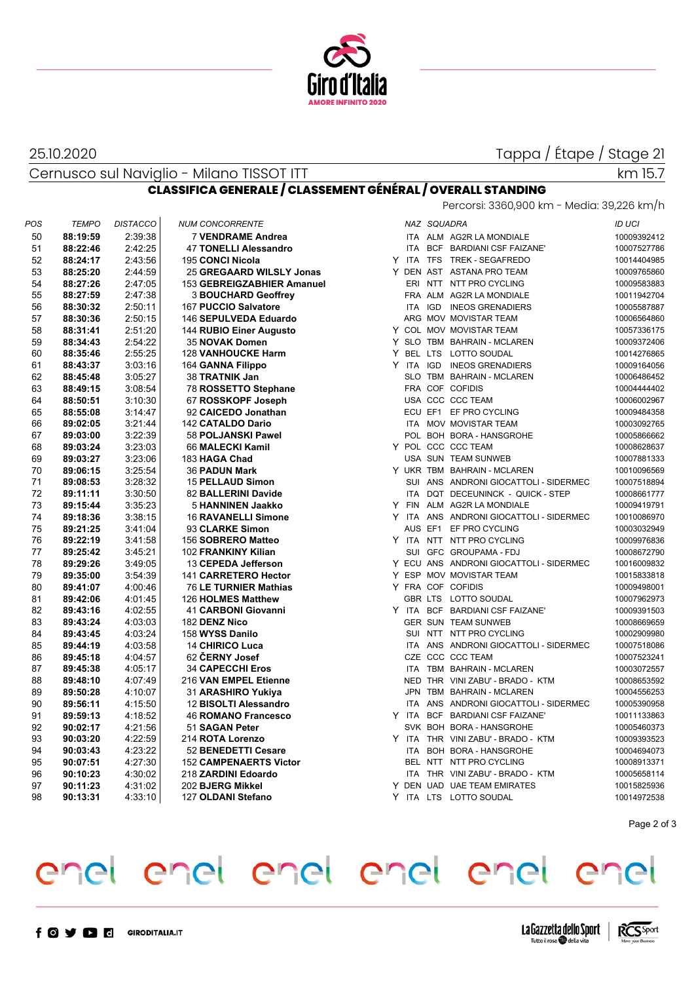

### 25.10.2020

Tappa / Étape / Stage 21

Cernusco sul Naviglio - Milano TISSOT ITT

### km 15.7

**CLASSIFICA GENERALE / CLASSEMENT GÉNÉRAL / OVERALL STANDING** Percorsi: 3360,900 km - Media: 39,226 km/h

| POS | <b>TEMPO</b> | <b>DISTACCO</b> | <b>NUM CONCORRENTE</b>        |  | NAZ SQUADRA                             | ID UCI      |
|-----|--------------|-----------------|-------------------------------|--|-----------------------------------------|-------------|
| 50  | 88:19:59     | 2:39:38         | <b>7 VENDRAME Andrea</b>      |  | ITA ALM AG2R LA MONDIALE                | 10009392412 |
| 51  | 88:22:46     | 2:42:25         | <b>47 TONELLI Alessandro</b>  |  | ITA BCF BARDIANI CSF FAIZANE'           | 10007527786 |
| 52  | 88:24:17     | 2:43:56         | <b>195 CONCI Nicola</b>       |  | Y ITA TFS TREK-SEGAFREDO                | 10014404985 |
| 53  | 88:25:20     | 2:44.59         | 25 GREGAARD WILSLY Jonas      |  | Y DEN AST ASTANA PRO TEAM               | 10009765860 |
| 54  | 88:27:26     | 2:47:05         | 153 GEBREIGZABHIER Amanuel    |  | ERI NTT NTT PRO CYCLING                 | 10009583883 |
| 55  | 88:27:59     | 2:47:38         | <b>3 BOUCHARD Geoffrey</b>    |  | FRA ALM AG2R LA MONDIALE                | 10011942704 |
| 56  | 88:30:32     | 2:50:11         | 167 PUCCIO Salvatore          |  | ITA IGD INEOS GRENADIERS                | 10005587887 |
| 57  | 88:30:36     | 2:50:15         | 146 SEPULVEDA Eduardo         |  | ARG MOV MOVISTAR TEAM                   | 10006564860 |
| 58  | 88:31:41     | 2:51:20         | 144 RUBIO Einer Augusto       |  | Y COL MOV MOVISTAR TEAM                 | 10057336175 |
| 59  | 88:34:43     | 2:54:22         | 35 NOVAK Domen                |  | Y SLO TBM BAHRAIN - MCLAREN             | 10009372406 |
| 60  | 88:35:46     | 2:55:25         | <b>128 VANHOUCKE Harm</b>     |  | Y BEL LTS LOTTO SOUDAL                  | 10014276865 |
| 61  | 88:43:37     | 3:03:16         | 164 GANNA Filippo             |  | Y ITA IGD INEOS GRENADIERS              | 10009164056 |
| 62  | 88:45:48     | 3:05:27         | 38 TRATNIK Jan                |  | SLO TBM BAHRAIN - MCLAREN               | 10006486452 |
| 63  | 88:49:15     | 3:08:54         | 78 ROSSETTO Stephane          |  | FRA COF COFIDIS                         | 10004444402 |
| 64  | 88:50:51     | 3:10:30         | 67 ROSSKOPF Joseph            |  | USA CCC CCC TEAM                        | 10006002967 |
| 65  | 88:55:08     | 3:14:47         | 92 CAICEDO Jonathan           |  | ECU EF1 EF PRO CYCLING                  | 10009484358 |
| 66  | 89:02:05     | 3:21:44         | 142 CATALDO Dario             |  | ITA MOV MOVISTAR TEAM                   | 10003092765 |
| 67  | 89:03:00     | 3:22:39         | 58 POLJANSKI Pawel            |  | POL BOH BORA - HANSGROHE                | 10005866662 |
| 68  | 89:03:24     | 3:23:03         | 66 MALECKI Kamil              |  | Y POL CCC CCC TEAM                      | 10008628637 |
| 69  | 89:03:27     | 3:23:06         | 183 HAGA Chad                 |  | USA SUN TEAM SUNWEB                     | 10007881333 |
| 70  | 89:06:15     | 3:25:54         | <b>36 PADUN Mark</b>          |  | Y UKR TBM BAHRAIN - MCLAREN             | 10010096569 |
| 71  | 89:08:53     | 3:28:32         | <b>15 PELLAUD Simon</b>       |  | SUI ANS ANDRONI GIOCATTOLI - SIDERMEC   | 10007518894 |
| 72  | 89:11:11     | 3:30:50         | 82 BALLERINI Davide           |  | ITA DQT DECEUNINCK - QUICK - STEP       | 10008661777 |
| 73  | 89:15:44     | 3:35:23         | <b>5 HANNINEN Jaakko</b>      |  | Y FIN ALM AG2R LA MONDIALE              | 10009419791 |
| 74  | 89:18:36     | 3:38:15         | <b>16 RAVANELLI Simone</b>    |  | Y ITA ANS ANDRONI GIOCATTOLI - SIDERMEC | 10010086970 |
| 75  | 89:21:25     | 3:41:04         | 93 CLARKE Simon               |  | AUS EF1 EF PRO CYCLING                  | 10003032949 |
| 76  | 89:22:19     | 3:41:58         | 156 SOBRERO Matteo            |  | Y ITA NTT NTT PRO CYCLING               | 10009976836 |
| 77  | 89:25:42     | 3:45:21         | 102 FRANKINY Kilian           |  | SUI GFC GROUPAMA - FDJ                  | 10008672790 |
| 78  | 89:29:26     | 3:49:05         | 13 CEPEDA Jefferson           |  | Y ECU ANS ANDRONI GIOCATTOLI - SIDERMEC | 10016009832 |
| 79  | 89:35:00     | 3:54:39         | 141 CARRETERO Hector          |  | Y ESP MOV MOVISTAR TEAM                 | 10015833818 |
| 80  | 89:41:07     | 4:00:46         | 76 LE TURNIER Mathias         |  | Y FRA COF COFIDIS                       | 10009498001 |
| 81  | 89:42:06     | 4:01:45         | 126 HOLMES Matthew            |  | GBR LTS LOTTO SOUDAL                    | 10007962973 |
| 82  | 89:43:16     | 4:02:55         | <b>41 CARBONI Giovanni</b>    |  | Y ITA BCF BARDIANI CSF FAIZANE'         | 10009391503 |
| 83  | 89:43:24     | 4:03:03         | 182 DENZ Nico                 |  | GER SUN TEAM SUNWEB                     | 10008669659 |
| 84  | 89:43:45     | 4:03:24         | 158 WYSS Danilo               |  | SUI NTT NTT PRO CYCLING                 | 10002909980 |
| 85  | 89:44:19     | 4:03:58         | <b>14 CHIRICO Luca</b>        |  | ITA ANS ANDRONI GIOCATTOLI - SIDERMEC   | 10007518086 |
| 86  | 89:45:18     | 4:04:57         | 62 CERNY Josef                |  | CZE CCC CCC TEAM                        | 10007523241 |
| 87  | 89:45:38     | 4:05:17         | <b>34 CAPECCHI Eros</b>       |  | ITA TBM BAHRAIN - MCLAREN               | 10003072557 |
| 88  | 89:48:10     | 4:07:49         | 216 VAN EMPEL Etienne         |  | NED THR VINI ZABU' - BRADO - KTM        | 10008653592 |
| 89  | 89:50:28     | 4:10:07         | 31 ARASHIRO Yukiya            |  | JPN TBM BAHRAIN - MCLAREN               | 10004556253 |
| 90  | 89:56:11     | 4:15:50         | 12 BISOLTI Alessandro         |  | ITA ANS ANDRONI GIOCATTOLI - SIDERMEC   | 10005390958 |
| 91  | 89:59:13     | 4:18:52         | <b>46 ROMANO Francesco</b>    |  | Y ITA BCF BARDIANI CSF FAIZANE'         | 10011133863 |
| 92  | 90:02:17     | 4:21:56         | 51 SAGAN Peter                |  | SVK BOH BORA - HANSGROHE                | 10005460373 |
| 93  | 90:03:20     | 4:22:59         | 214 ROTA Lorenzo              |  | Y ITA THR VINI ZABU' - BRADO - KTM      | 10009393523 |
| 94  | 90:03:43     | 4:23:22         | 52 BENEDETTI Cesare           |  | ITA BOH BORA - HANSGROHE                | 10004694073 |
| 95  | 90:07:51     | 4:27:30         | <b>152 CAMPENAERTS Victor</b> |  | BEL NTT NTT PRO CYCLING                 | 10008913371 |
| 96  | 90:10:23     | 4:30:02         | 218 ZARDINI Edoardo           |  | ITA THR VINI ZABU' - BRADO - KTM        | 10005658114 |
| 97  | 90:11:23     | 4:31:02         | 202 BJERG Mikkel              |  | Y DEN UAD UAE TEAM EMIRATES             | 10015825936 |
| 98  | 90:13:31     | 4:33:10         | 127 OLDANI Stefano            |  | Y ITA LTS LOTTO SOUDAL                  | 10014972538 |
|     |              |                 |                               |  |                                         |             |

| uu.    | <b>JULION US</b>           |
|--------|----------------------------|
|        | ID UCI                     |
|        | 10009392412                |
|        | 10007527786                |
|        | 10014404985                |
|        | 10009765860                |
|        | 10009583883                |
|        | 10011942704                |
|        | 10005587887                |
|        | 10006564860                |
|        |                            |
|        | 10057336175<br>10009372406 |
|        |                            |
|        | 10014276865                |
|        | 10009164056                |
|        | 10006486452                |
|        | 10004444402                |
|        | 10006002967                |
|        | 10009484358                |
|        | 10003092765                |
|        | 10005866662                |
|        | 10008628637                |
|        | 10007881333                |
|        | 10010096569                |
| DERMEC | 10007518894                |
| TEP    | 10008661777                |
|        | 10009419791                |
| DERMEC | 10010086970                |
|        | 10003032949                |
|        | 10009976836                |
|        | 10008672790                |
| DERMEC | 10016009832                |
|        | 10015833818                |
|        | 10009498001                |
|        | 10007962973                |
|        | 10009391503                |
|        | 10008669659                |
|        | 10002909980                |
| DERMEC | 10007518086                |
|        | 10007523241                |
|        | 10003072557                |
|        | 10008653592                |
|        | 10004556253                |
| DERMEC | 10005390958                |
|        | 10011133863                |
|        | 10005460373                |
|        | 10009393523                |
|        | 10004694073                |
|        | 10008913371                |
|        | 10005658114                |
|        | 10015825936                |
|        | 10014972538                |
|        |                            |

Page 2 of 3

#### enel enel enel enel enel  $\mathsf{C}^r$